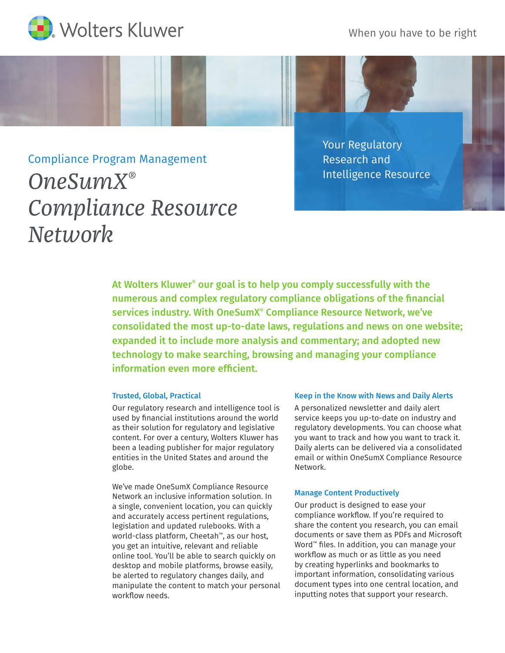When you have to be right



# Compliance Program Management *OneSumX® Compliance Resource Network*

Your Regulatory Research and Intelligence Resource

At Wolters Kluwer® our goal is to help you comply successfully with the numerous and complex regulatory compliance obligations of the financial services industry. With OneSumX® Compliance Resource Network, we've consolidated the most up-to-date laws, regulations and news on one website; expanded it to include more analysis and commentary; and adopted new technology to make searching, browsing and managing your compliance information even more efficient.

## Trusted, Global, Practical

Our regulatory research and intelligence tool is used by financial institutions around the world as their solution for regulatory and legislative content. For over a century, Wolters Kluwer has been a leading publisher for major regulatory entities in the United States and around the globe.

We've made OneSumX Compliance Resource Network an inclusive information solution. In a single, convenient location, you can quickly and accurately access pertinent regulations, legislation and updated rulebooks. With a world-class platform, Cheetah™, as our host, you get an intuitive, relevant and reliable online tool. You'll be able to search quickly on desktop and mobile platforms, browse easily, be alerted to regulatory changes daily, and manipulate the content to match your personal workflow needs.

#### Keep in the Know with News and Daily Alerts

A personalized newsletter and daily alert service keeps you up-to-date on industry and regulatory developments. You can choose what you want to track and how you want to track it. Daily alerts can be delivered via a consolidated email or within OneSumX Compliance Resource Network.

#### Manage Content Productively

Our product is designed to ease your compliance workflow. If you're required to share the content you research, you can email documents or save them as PDFs and Microsoft Word™ files. In addition, you can manage your workflow as much or as little as you need by creating hyperlinks and bookmarks to important information, consolidating various document types into one central location, and inputting notes that support your research.